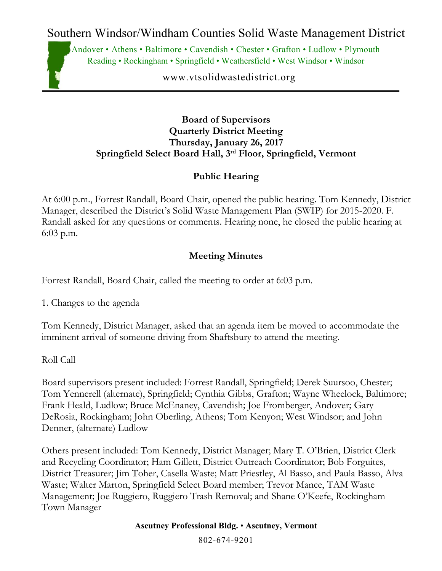Southern Windsor/Windham Counties Solid Waste Management District

Andover • Athens • Baltimore • Cavendish • Chester • Grafton • Ludlow • Plymouth Reading • Rockingham • Springfield • Weathersfield • West Windsor • Windsor

www.vtsolidwastedistrict.org

#### **Board of Supervisors Quarterly District Meeting Thursday, January 26, 2017 Springfield Select Board Hall, 3rd Floor, Springfield, Vermont**

### **Public Hearing**

At 6:00 p.m., Forrest Randall, Board Chair, opened the public hearing. Tom Kennedy, District Manager, described the District's Solid Waste Management Plan (SWIP) for 2015-2020. F. Randall asked for any questions or comments. Hearing none, he closed the public hearing at 6:03 p.m.

### **Meeting Minutes**

Forrest Randall, Board Chair, called the meeting to order at 6:03 p.m.

1. Changes to the agenda

Tom Kennedy, District Manager, asked that an agenda item be moved to accommodate the imminent arrival of someone driving from Shaftsbury to attend the meeting.

Roll Call

Board supervisors present included: Forrest Randall, Springfield; Derek Suursoo, Chester; Tom Yennerell (alternate), Springfield; Cynthia Gibbs, Grafton; Wayne Wheelock, Baltimore; Frank Heald, Ludlow; Bruce McEnaney, Cavendish; Joe Fromberger, Andover; Gary DeRosia, Rockingham; John Oberling, Athens; Tom Kenyon; West Windsor; and John Denner, (alternate) Ludlow

Others present included: Tom Kennedy, District Manager; Mary T. O'Brien, District Clerk and Recycling Coordinator; Ham Gillett, District Outreach Coordinator; Bob Forguites, District Treasurer; Jim Toher, Casella Waste; Matt Priestley, Al Basso, and Paula Basso, Alva Waste; Walter Marton, Springfield Select Board member; Trevor Mance, TAM Waste Management; Joe Ruggiero, Ruggiero Trash Removal; and Shane O'Keefe, Rockingham Town Manager

**Ascutney Professional Bldg.** • **Ascutney, Vermont**

802-674-9201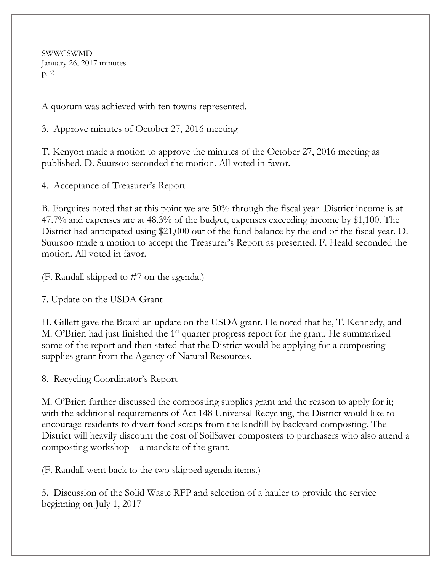SWWCSWMD January 26, 2017 minutes p. 2

A quorum was achieved with ten towns represented.

3. Approve minutes of October 27, 2016 meeting

T. Kenyon made a motion to approve the minutes of the October 27, 2016 meeting as published. D. Suursoo seconded the motion. All voted in favor.

4. Acceptance of Treasurer's Report

B. Forguites noted that at this point we are 50% through the fiscal year. District income is at 47.7% and expenses are at 48.3% of the budget, expenses exceeding income by \$1,100. The District had anticipated using \$21,000 out of the fund balance by the end of the fiscal year. D. Suursoo made a motion to accept the Treasurer's Report as presented. F. Heald seconded the motion. All voted in favor.

(F. Randall skipped to #7 on the agenda.)

7. Update on the USDA Grant

H. Gillett gave the Board an update on the USDA grant. He noted that he, T. Kennedy, and M. O'Brien had just finished the 1<sup>st</sup> quarter progress report for the grant. He summarized some of the report and then stated that the District would be applying for a composting supplies grant from the Agency of Natural Resources.

8. Recycling Coordinator's Report

M. O'Brien further discussed the composting supplies grant and the reason to apply for it; with the additional requirements of Act 148 Universal Recycling, the District would like to encourage residents to divert food scraps from the landfill by backyard composting. The District will heavily discount the cost of SoilSaver composters to purchasers who also attend a composting workshop – a mandate of the grant.

(F. Randall went back to the two skipped agenda items.)

5. Discussion of the Solid Waste RFP and selection of a hauler to provide the service beginning on July 1, 2017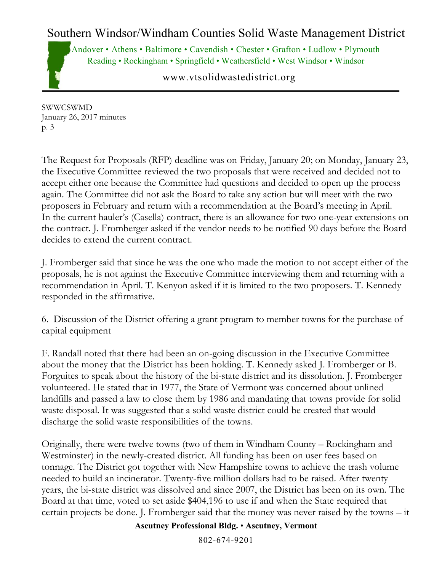# Southern Windsor/Windham Counties Solid Waste Management District

Andover • Athens • Baltimore • Cavendish • Chester • Grafton • Ludlow • Plymouth Reading • Rockingham • Springfield • Weathersfield • West Windsor • Windsor

www.vtsolidwastedistrict.org

SWWCSWMD January 26, 2017 minutes p. 3

The Request for Proposals (RFP) deadline was on Friday, January 20; on Monday, January 23, the Executive Committee reviewed the two proposals that were received and decided not to accept either one because the Committee had questions and decided to open up the process again. The Committee did not ask the Board to take any action but will meet with the two proposers in February and return with a recommendation at the Board's meeting in April. In the current hauler's (Casella) contract, there is an allowance for two one-year extensions on the contract. J. Fromberger asked if the vendor needs to be notified 90 days before the Board decides to extend the current contract.

J. Fromberger said that since he was the one who made the motion to not accept either of the proposals, he is not against the Executive Committee interviewing them and returning with a recommendation in April. T. Kenyon asked if it is limited to the two proposers. T. Kennedy responded in the affirmative.

6. Discussion of the District offering a grant program to member towns for the purchase of capital equipment

F. Randall noted that there had been an on-going discussion in the Executive Committee about the money that the District has been holding. T. Kennedy asked J. Fromberger or B. Forguites to speak about the history of the bi-state district and its dissolution. J. Fromberger volunteered. He stated that in 1977, the State of Vermont was concerned about unlined landfills and passed a law to close them by 1986 and mandating that towns provide for solid waste disposal. It was suggested that a solid waste district could be created that would discharge the solid waste responsibilities of the towns.

Originally, there were twelve towns (two of them in Windham County – Rockingham and Westminster) in the newly-created district. All funding has been on user fees based on tonnage. The District got together with New Hampshire towns to achieve the trash volume needed to build an incinerator. Twenty-five million dollars had to be raised. After twenty years, the bi-state district was dissolved and since 2007, the District has been on its own. The Board at that time, voted to set aside \$404,196 to use if and when the State required that certain projects be done. J. Fromberger said that the money was never raised by the towns – it

#### **Ascutney Professional Bldg.** • **Ascutney, Vermont**

802-674-9201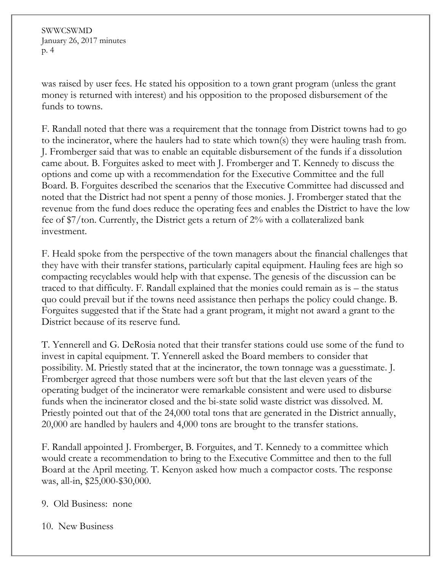SWWCSWMD January 26, 2017 minutes p. 4

was raised by user fees. He stated his opposition to a town grant program (unless the grant money is returned with interest) and his opposition to the proposed disbursement of the funds to towns.

F. Randall noted that there was a requirement that the tonnage from District towns had to go to the incinerator, where the haulers had to state which town(s) they were hauling trash from. J. Fromberger said that was to enable an equitable disbursement of the funds if a dissolution came about. B. Forguites asked to meet with J. Fromberger and T. Kennedy to discuss the options and come up with a recommendation for the Executive Committee and the full Board. B. Forguites described the scenarios that the Executive Committee had discussed and noted that the District had not spent a penny of those monies. J. Fromberger stated that the revenue from the fund does reduce the operating fees and enables the District to have the low fee of \$7/ton. Currently, the District gets a return of 2% with a collateralized bank investment.

F. Heald spoke from the perspective of the town managers about the financial challenges that they have with their transfer stations, particularly capital equipment. Hauling fees are high so compacting recyclables would help with that expense. The genesis of the discussion can be traced to that difficulty. F. Randall explained that the monies could remain as is – the status quo could prevail but if the towns need assistance then perhaps the policy could change. B. Forguites suggested that if the State had a grant program, it might not award a grant to the District because of its reserve fund.

T. Yennerell and G. DeRosia noted that their transfer stations could use some of the fund to invest in capital equipment. T. Yennerell asked the Board members to consider that possibility. M. Priestly stated that at the incinerator, the town tonnage was a guesstimate. J. Fromberger agreed that those numbers were soft but that the last eleven years of the operating budget of the incinerator were remarkable consistent and were used to disburse funds when the incinerator closed and the bi-state solid waste district was dissolved. M. Priestly pointed out that of the 24,000 total tons that are generated in the District annually, 20,000 are handled by haulers and 4,000 tons are brought to the transfer stations.

F. Randall appointed J. Fromberger, B. Forguites, and T. Kennedy to a committee which would create a recommendation to bring to the Executive Committee and then to the full Board at the April meeting. T. Kenyon asked how much a compactor costs. The response was, all-in, \$25,000-\$30,000.

9. Old Business: none

10. New Business